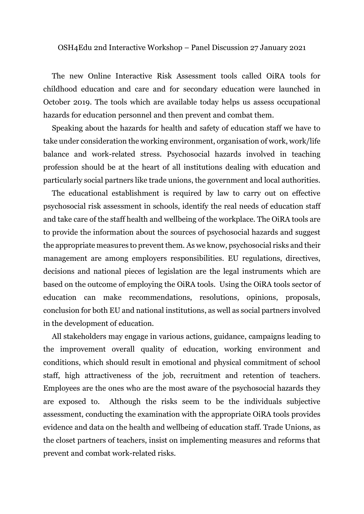## OSH4Edu 2nd Interactive Workshop – Panel Discussion 27 January 2021

The new Online Interactive Risk Assessment tools called OiRA tools for childhood education and care and for secondary education were launched in October 2019. The tools which are available today helps us assess occupational hazards for education personnel and then prevent and combat them.

Speaking about the hazards for health and safety of education staff we have to take under consideration the working environment, organisation of work, work/life balance and work-related stress. Psychosocial hazards involved in teaching profession should be at the heart of all institutions dealing with education and particularly social partners like trade unions, the government and local authorities.

The educational establishment is required by law to carry out on effective psychosocial risk assessment in schools, identify the real needs of education staff and take care of the staff health and wellbeing of the workplace. The OiRA tools are to provide the information about the sources of psychosocial hazards and suggest the appropriate measures to prevent them. As we know, psychosocial risks and their management are among employers responsibilities. EU regulations, directives, decisions and national pieces of legislation are the legal instruments which are based on the outcome of employing the OiRA tools. Using the OiRA tools sector of education can make recommendations, resolutions, opinions, proposals, conclusion for both EU and national institutions, as well as social partners involved in the development of education.

All stakeholders may engage in various actions, guidance, campaigns leading to the improvement overall quality of education, working environment and conditions, which should result in emotional and physical commitment of school staff, high attractiveness of the job, recruitment and retention of teachers. Employees are the ones who are the most aware of the psychosocial hazards they are exposed to. Although the risks seem to be the individuals subjective assessment, conducting the examination with the appropriate OiRA tools provides evidence and data on the health and wellbeing of education staff. Trade Unions, as the closet partners of teachers, insist on implementing measures and reforms that prevent and combat work-related risks.